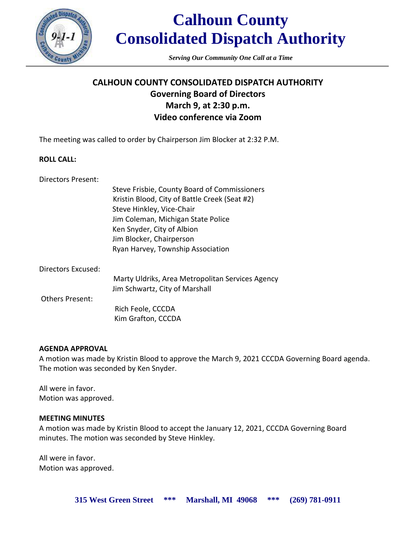

## **Calhoun County Consolidated Dispatch Authority**

*Serving Our Community One Call at a Time*

### **CALHOUN COUNTY CONSOLIDATED DISPATCH AUTHORITY Governing Board of Directors March 9, at 2:30 p.m. Video conference via Zoom**

The meeting was called to order by Chairperson Jim Blocker at 2:32 P.M.

#### **ROLL CALL:**

| Directors Present: |                                               |
|--------------------|-----------------------------------------------|
|                    | Steve Frisbie, County Board of Commissioners  |
|                    | Kristin Blood, City of Battle Creek (Seat #2) |
|                    | Steve Hinkley, Vice-Chair                     |
|                    | Jim Coleman, Michigan State Police            |
|                    | Ken Snyder, City of Albion                    |

Jim Blocker, Chairperson Ryan Harvey, Township Association

| Directors Excused: |                                                                                    |
|--------------------|------------------------------------------------------------------------------------|
|                    | Marty Uldriks, Area Metropolitan Services Agency<br>Jim Schwartz, City of Marshall |
| Others Present:    |                                                                                    |
|                    | Rich Feole, CCCDA                                                                  |
|                    | Kim Grafton, CCCDA                                                                 |

#### **AGENDA APPROVAL**

A motion was made by Kristin Blood to approve the March 9, 2021 CCCDA Governing Board agenda. The motion was seconded by Ken Snyder.

All were in favor. Motion was approved.

#### **MEETING MINUTES**

A motion was made by Kristin Blood to accept the January 12, 2021, CCCDA Governing Board minutes. The motion was seconded by Steve Hinkley.

All were in favor. Motion was approved.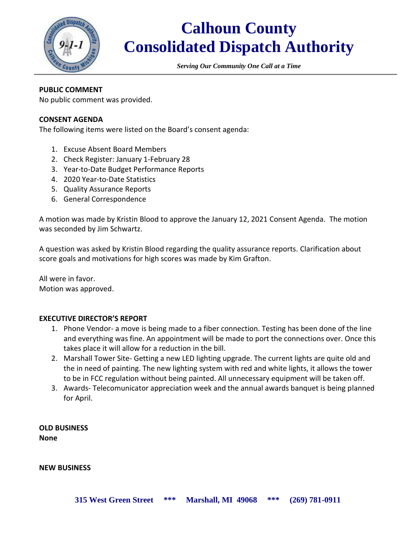

## **Calhoun County Consolidated Dispatch Authority**

*Serving Our Community One Call at a Time*

#### **PUBLIC COMMENT**

No public comment was provided.

#### **CONSENT AGENDA**

The following items were listed on the Board's consent agenda:

- 1. Excuse Absent Board Members
- 2. Check Register: January 1-February 28
- 3. Year-to-Date Budget Performance Reports
- 4. 2020 Year-to-Date Statistics
- 5. Quality Assurance Reports
- 6. General Correspondence

A motion was made by Kristin Blood to approve the January 12, 2021 Consent Agenda. The motion was seconded by Jim Schwartz.

A question was asked by Kristin Blood regarding the quality assurance reports. Clarification about score goals and motivations for high scores was made by Kim Grafton.

All were in favor. Motion was approved.

#### **EXECUTIVE DIRECTOR'S REPORT**

- 1. Phone Vendor- a move is being made to a fiber connection. Testing has been done of the line and everything was fine. An appointment will be made to port the connections over. Once this takes place it will allow for a reduction in the bill.
- 2. Marshall Tower Site- Getting a new LED lighting upgrade. The current lights are quite old and the in need of painting. The new lighting system with red and white lights, it allows the tower to be in FCC regulation without being painted. All unnecessary equipment will be taken off.
- 3. Awards- Telecomunicator appreciation week and the annual awards banquet is being planned for April.

**OLD BUSINESS None**

**NEW BUSINESS**